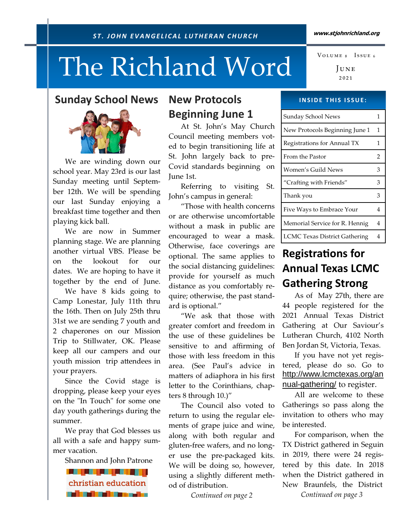# The Richland Word

## Sunday School News

 We are winding down our school year. May 23rd is our last Sunday meeting until September 12th. We will be spending our last Sunday enjoying a breakfast time together and then playing kick ball.

 We are now in Summer planning stage. We are planning another virtual VBS. Please be on the lookout for our dates. We are hoping to have it together by the end of June.

 We have 8 kids going to Camp Lonestar, July 11th thru the 16th. Then on July 25th thru 31st we are sending 7 youth and 2 chaperones on our Mission Trip to Stillwater, OK. Please keep all our campers and our youth mission trip attendees in your prayers.

 Since the Covid stage is dropping, please keep your eyes on the "In Touch" for some one day youth gatherings during the summer.

 We pray that God blesses us all with a safe and happy summer vacation.

Shannon and John Patrone

<u> 1949 - An t-An t-An t-An t</u> christian education **State of Committee** 

## New Protocols Beginning June 1

 At St. John's May Church Council meeting members voted to begin transitioning life at St. John largely back to pre-Covid standards beginning on June 1st.

 Referring to visiting St. John's campus in general:

 "Those with health concerns or are otherwise uncomfortable without a mask in public are encouraged to wear a mask. Otherwise, face coverings are optional. The same applies to the social distancing guidelines: provide for yourself as much distance as you comfortably require; otherwise, the past standard is optional."

 "We ask that those with greater comfort and freedom in the use of these guidelines be sensitive to and affirming of those with less freedom in this area. (See Paul's advice in matters of adiaphora in his first letter to the Corinthians, chapters 8 through 10.)"

 The Council also voted to return to using the regular elements of grape juice and wine, along with both regular and gluten-free wafers, and no longer use the pre-packaged kits. We will be doing so, however, using a slightly different method of distribution.

Continued on page 2

**INSIDE THIS ISSUE:** 

| Sunday School News                   |   |
|--------------------------------------|---|
| New Protocols Beginning June 1       | 1 |
| Registrations for Annual TX          | 1 |
| From the Pastor                      | 2 |
| Women's Guild News                   | 3 |
| "Crafting with Friends"              | 3 |
| Thank you                            | 3 |
| Five Ways to Embrace Your            | 4 |
| Memorial Service for R. Hennig       | 4 |
| <b>LCMC Texas District Gathering</b> |   |

# **Registrations for** Annual Texas LCMC Gathering Strong

 As of May 27th, there are 44 people registered for the 2021 Annual Texas District Gathering at Our Saviour's Lutheran Church, 4102 North Ben Jordan St, Victoria, Texas.

 If you have not yet registered, please do so. Go to http://www.lcmctexas.org/an nual-gathering/ to register.

All are welcome to these Gatherings so pass along the invitation to others who may be interested.

 For comparison, when the TX District gathered in Seguin in 2019, there were 24 registered by this date. In 2018 when the District gathered in New Braunfels, the District Continued on page 3

#### www.stjohnrichland.org

 $J_{\text{UNE}}$ ₂₀₂₁ VOLUME 8 ISSUE 6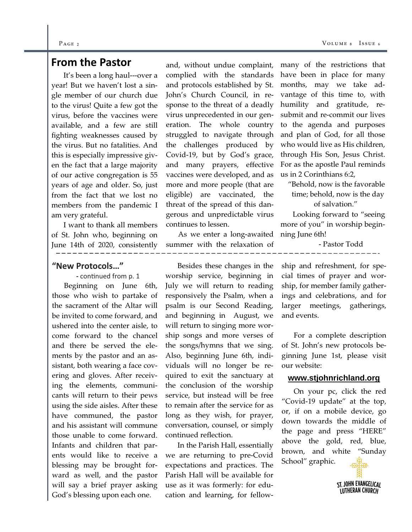#### $P_{\text{AGE 2}}$  Vo

## From the Pastor

 It's been a long haul---over a year! But we haven't lost a single member of our church due to the virus! Quite a few got the virus, before the vaccines were available, and a few are still fighting weaknesses caused by the virus. But no fatalities. And this is especially impressive given the fact that a large majority of our active congregation is 55 years of age and older. So, just from the fact that we lost no members from the pandemic I am very grateful.

 I want to thank all members of St. John who, beginning on June 14th of 2020, consistently

#### "New Protocols…"

- continued from p. 1

 Beginning on June 6th, those who wish to partake of the sacrament of the Altar will be invited to come forward, and ushered into the center aisle, to come forward to the chancel and there be served the elements by the pastor and an assistant, both wearing a face covering and gloves. After receiving the elements, communicants will return to their pews using the side aisles. After these have communed, the pastor and his assistant will commune those unable to come forward. Infants and children that parents would like to receive a blessing may be brought forward as well, and the pastor will say a brief prayer asking God's blessing upon each one.

and, without undue complaint, complied with the standards and protocols established by St. John's Church Council, in response to the threat of a deadly virus unprecedented in our generation. The whole country struggled to navigate through the challenges produced by Covid-19, but by God's grace, and many prayers, effective vaccines were developed, and as more and more people (that are eligible) are vaccinated, the threat of the spread of this dangerous and unpredictable virus continues to lessen.

 As we enter a long-awaited summer with the relaxation of

 Besides these changes in the worship service, beginning in July we will return to reading responsively the Psalm, when a psalm is our Second Reading, and beginning in August, we will return to singing more worship songs and more verses of the songs/hymns that we sing. Also, beginning June 6th, individuals will no longer be required to exit the sanctuary at the conclusion of the worship service, but instead will be free to remain after the service for as long as they wish, for prayer, conversation, counsel, or simply continued reflection.

 In the Parish Hall, essentially we are returning to pre-Covid expectations and practices. The Parish Hall will be available for use as it was formerly: for education and learning, for fellowmany of the restrictions that have been in place for many months, may we take advantage of this time to, with humility and gratitude, resubmit and re-commit our lives to the agenda and purposes and plan of God, for all those who would live as His children, through His Son, Jesus Christ. For as the apostle Paul reminds us in 2 Corinthians 6:2,

 "Behold, now is the favorable time; behold, now is the day of salvation."

 Looking forward to "seeing more of you" in worship beginning June 6th!

- Pastor Todd

ship and refreshment, for special times of prayer and worship, for member family gatherings and celebrations, and for larger meetings, gatherings, and events.

 For a complete description of St. John's new protocols beginning June 1st, please visit our website:

#### **www.stjohnrichland.org**

 On your pc, click the red "Covid-19 update" at the top, or, if on a mobile device, go down towards the middle of the page and press "HERE" above the gold, red, blue, brown, and white "Sunday School" graphic.

> ST. JOHN EVANGELICAL **LUTHERAN CHURCH**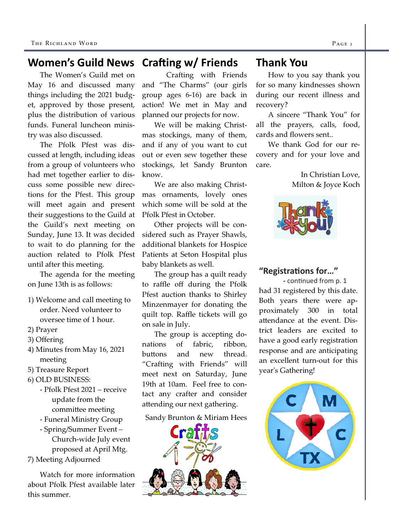#### Crafting  $w/$  Friends Women's Guild News

The Women's Guild met on May 16 and discussed many things including the 2021 budget, approved by those present, plus the distribution of various funds. Funeral luncheon ministry was also discussed.

 The Pfolk Pfest was discussed at length, including ideas from a group of volunteers who had met together earlier to discuss some possible new directions for the Pfest. This group will meet again and present their suggestions to the Guild at the Guild's next meeting on Sunday, June 13. It was decided to wait to do planning for the auction related to Pfolk Pfest until after this meeting.

 The agenda for the meeting on June 13th is as follows:

- 1) Welcome and call meeting to order. Need volunteer to oversee time of 1 hour.
- 2) Prayer
- 3) Offering
- 4) Minutes from May 16, 2021 meeting
- 5) Treasure Report
- 6) OLD BUSINESS:
	- Pfolk Pfest 2021 receive update from the committee meeting
	- Funeral Ministry Group

 - Spring/Summer Event – Church-wide July event proposed at April Mtg.

7) Meeting Adjourned

 Watch for more information about Pfolk Pfest available later this summer.

 Crafting with Friends and "The Charms" (our girls group ages 6-16) are back in action! We met in May and planned our projects for now.

 We will be making Christmas stockings, many of them, and if any of you want to cut out or even sew together these stockings, let Sandy Brunton know.

 We are also making Christmas ornaments, lovely ones which some will be sold at the Pfolk Pfest in October.

 Other projects will be considered such as Prayer Shawls, additional blankets for Hospice Patients at Seton Hospital plus baby blankets as well.

 The group has a quilt ready to raffle off during the Pfolk Pfest auction thanks to Shirley Minzenmayer for donating the quilt top. Raffle tickets will go on sale in July.

 The group is accepting donations of fabric, ribbon, buttons and new thread. "Crafting with Friends" will meet next on Saturday, June 19th at 10am. Feel free to contact any crafter and consider attending our next gathering.

#### Sandy Brunton & Miriam Hees



## Thank You

How to you say thank you for so many kindnesses shown during our recent illness and recovery?

 A sincere "Thank You" for all the prayers, calls, food, cards and flowers sent..

 We thank God for our recovery and for your love and care.

> In Christian Love, Milton & Joyce Koch



### "Registrations for..."

- continued from p. 1 had 31 registered by this date. Both years there were approximately 300 in total attendance at the event. District leaders are excited to have a good early registration response and are anticipating an excellent turn-out for this yearʹs Gathering!